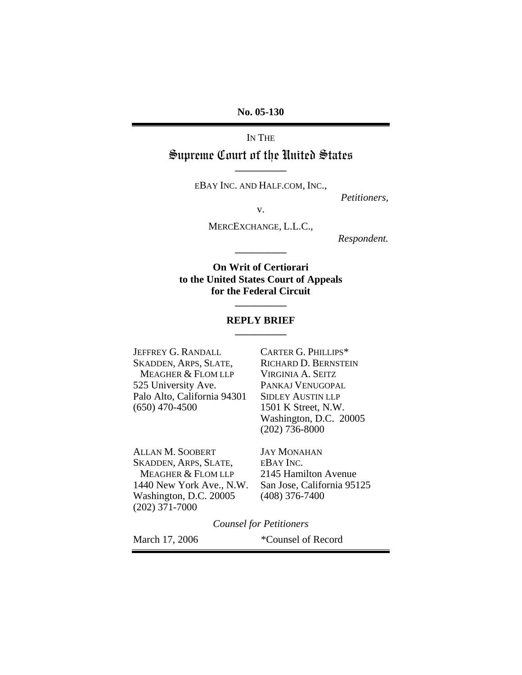**No. 05-130** 

IN THE

## Supreme Court of the United States **\_\_\_\_\_\_\_\_\_\_\_**

EBAY INC. AND HALF.COM, INC.,

*Petitioners,* 

v.

MERCEXCHANGE, L.L.C.,

*Respondent.* 

**On Writ of Certiorari to the United States Court of Appeals for the Federal Circuit** 

**\_\_\_\_\_\_\_\_\_\_\_** 

## **REPLY BRIEF \_\_\_\_\_\_\_\_\_\_\_**

**\_\_\_\_\_\_\_\_\_\_\_** 

JEFFREY G. RANDALL CARTER G. PHILLIPS\* SKADDEN, ARPS, SLATE, RICHARD D. BERNSTEIN<br>MEAGHER & FLOM LLP VIRGINIA A. SEITZ MEAGHER & FLOM LLP 525 University Ave. PANKAJ VENUGOPAL Palo Alto, California 94301 SIDLEY AUSTIN LLP (650) 470-4500 1501 K Street, N.W.

 Washington, D.C. 20005 (202) 736-8000

ALLAN M. SOOBERT JAY MONAHAN SKADDEN, ARPS, SLATE, EBAY INC.<br>MEAGHER & FLOM LLP 2145 Hamilton Avenue MEAGHER & FLOM LLP 1440 New York Ave., N.W. San Jose, California 95125 Washington, D.C. 20005 (408) 376-7400 (202) 371-7000

*Counsel for Petitioners* 

March 17, 2006 \*Counsel of Record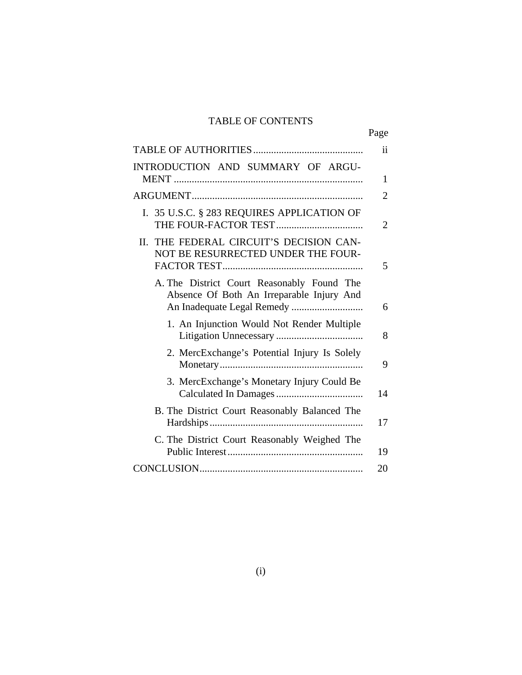# TABLE OF CONTENTS

|                                                                                         | Page                |
|-----------------------------------------------------------------------------------------|---------------------|
|                                                                                         | $\ddot{\mathbf{i}}$ |
| INTRODUCTION AND SUMMARY OF ARGU-                                                       | 1                   |
|                                                                                         | 2                   |
| I. 35 U.S.C. § 283 REQUIRES APPLICATION OF                                              | 2                   |
| II. THE FEDERAL CIRCUIT'S DECISION CAN-<br>NOT BE RESURRECTED UNDER THE FOUR-           | 5                   |
| A. The District Court Reasonably Found The<br>Absence Of Both An Irreparable Injury And | 6                   |
| 1. An Injunction Would Not Render Multiple                                              | 8                   |
| 2. MercExchange's Potential Injury Is Solely                                            | 9                   |
| 3. MercExchange's Monetary Injury Could Be                                              | 14                  |
| B. The District Court Reasonably Balanced The                                           | 17                  |
| C. The District Court Reasonably Weighed The                                            | 19                  |
|                                                                                         | 20                  |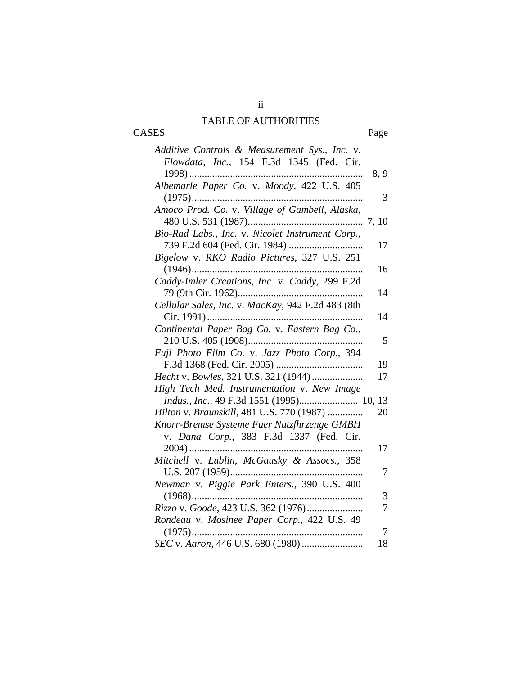# TABLE OF AUTHORITIES

ii

CASES Page

| Additive Controls & Measurement Sys., Inc. v.     |      |
|---------------------------------------------------|------|
| Flowdata, Inc., 154 F.3d 1345 (Fed. Cir.          |      |
|                                                   | 8, 9 |
| Albemarle Paper Co. v. Moody, 422 U.S. 405        |      |
|                                                   | 3    |
| Amoco Prod. Co. v. Village of Gambell, Alaska,    |      |
|                                                   |      |
| Bio-Rad Labs., Inc. v. Nicolet Instrument Corp.,  |      |
|                                                   | 17   |
| Bigelow v. RKO Radio Pictures, 327 U.S. 251       |      |
|                                                   | 16   |
| Caddy-Imler Creations, Inc. v. Caddy, 299 F.2d    |      |
|                                                   | 14   |
| Cellular Sales, Inc. v. MacKay, 942 F.2d 483 (8th |      |
|                                                   | 14   |
| Continental Paper Bag Co. v. Eastern Bag Co.,     |      |
|                                                   | 5    |
| Fuji Photo Film Co. v. Jazz Photo Corp., 394      |      |
|                                                   | 19   |
| Hecht v. Bowles, 321 U.S. 321 (1944)              | 17   |
| High Tech Med. Instrumentation v. New Image       |      |
| Indus., Inc., 49 F.3d 1551 (1995) 10, 13          |      |
| Hilton v. Braunskill, 481 U.S. 770 (1987)         | 20   |
| Knorr-Bremse Systeme Fuer Nutzfhrzenge GMBH       |      |
| v. Dana Corp., 383 F.3d 1337 (Fed. Cir.           |      |
|                                                   | 17   |
| Mitchell v. Lublin, McGausky & Assocs., 358       |      |
| U.S. 207 (1959)                                   | 7    |
| Newman v. Piggie Park Enters., 390 U.S. 400       |      |
|                                                   | 3    |
| Rizzo v. Goode, 423 U.S. 362 (1976)               | 7    |
| Rondeau v. Mosinee Paper Corp., 422 U.S. 49       |      |
| $(1975)$                                          | 7    |
|                                                   | 18   |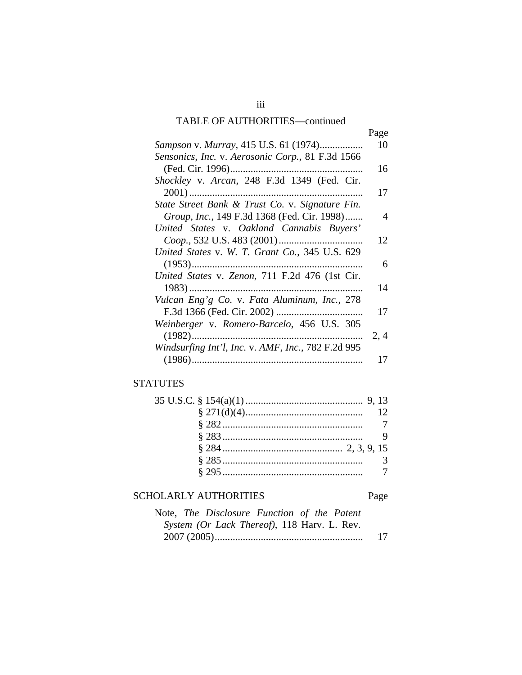# TABLE OF AUTHORITIES—continued

|                                                    | Page           |
|----------------------------------------------------|----------------|
| Sampson v. Murray, 415 U.S. 61 (1974)              | 10             |
| Sensonics, Inc. v. Aerosonic Corp., 81 F.3d 1566   |                |
|                                                    | 16             |
| Shockley v. Arcan, 248 F.3d 1349 (Fed. Cir.        |                |
|                                                    | 17             |
| State Street Bank & Trust Co. v. Signature Fin.    |                |
| Group, Inc., 149 F.3d 1368 (Fed. Cir. 1998)        | $\overline{4}$ |
| United States v. Oakland Cannabis Buyers'          |                |
|                                                    | 12             |
| United States v. W. T. Grant Co., 345 U.S. 629     |                |
|                                                    | 6              |
| United States v. Zenon, 711 F.2d 476 (1st Cir.     |                |
|                                                    | 14             |
| Vulcan Eng'g Co. v. Fata Aluminum, Inc., 278       |                |
|                                                    | 17             |
| Weinberger v. Romero-Barcelo, 456 U.S. 305         |                |
|                                                    | 2, 4           |
| Windsurfing Int'l, Inc. v. AMF, Inc., 782 F.2d 995 |                |
|                                                    | 17             |

# **STATUTES**

# SCHOLARLY AUTHORITIES Page

| Note, The Disclosure Function of the Patent |    |
|---------------------------------------------|----|
| System (Or Lack Thereof), 118 Harv. L. Rev. |    |
|                                             | 17 |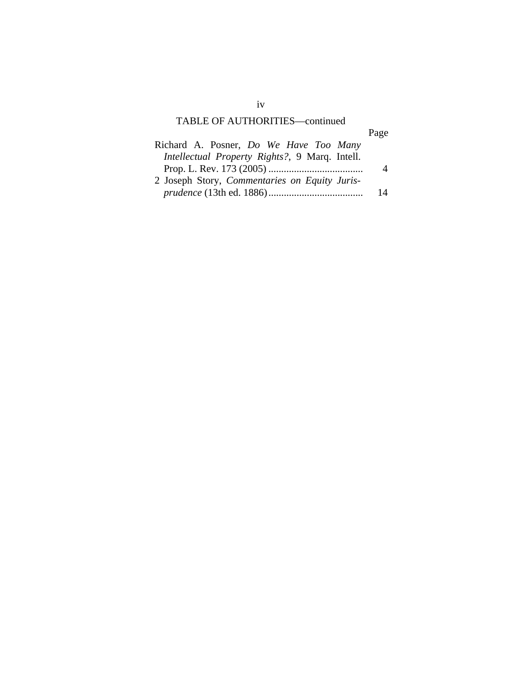# TABLE OF AUTHORITIES—continued

|--|

| 14 |
|----|
|    |

iv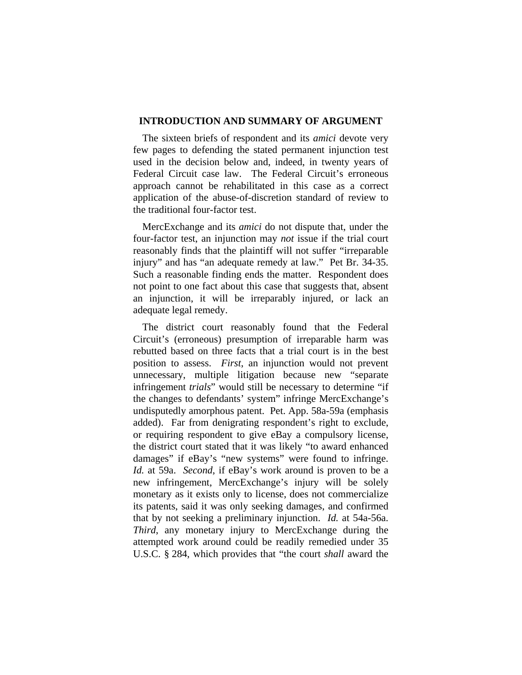## **INTRODUCTION AND SUMMARY OF ARGUMENT**

The sixteen briefs of respondent and its *amici* devote very few pages to defending the stated permanent injunction test used in the decision below and, indeed, in twenty years of Federal Circuit case law. The Federal Circuit's erroneous approach cannot be rehabilitated in this case as a correct application of the abuse-of-discretion standard of review to the traditional four-factor test.

MercExchange and its *amici* do not dispute that, under the four-factor test, an injunction may *not* issue if the trial court reasonably finds that the plaintiff will not suffer "irreparable injury" and has "an adequate remedy at law." Pet Br. 34-35. Such a reasonable finding ends the matter. Respondent does not point to one fact about this case that suggests that, absent an injunction, it will be irreparably injured, or lack an adequate legal remedy.

The district court reasonably found that the Federal Circuit's (erroneous) presumption of irreparable harm was rebutted based on three facts that a trial court is in the best position to assess. *First*, an injunction would not prevent unnecessary, multiple litigation because new "separate infringement *trials*" would still be necessary to determine "if the changes to defendants' system" infringe MercExchange's undisputedly amorphous patent. Pet. App. 58a-59a (emphasis added). Far from denigrating respondent's right to exclude, or requiring respondent to give eBay a compulsory license, the district court stated that it was likely "to award enhanced damages" if eBay's "new systems" were found to infringe. *Id.* at 59a. *Second*, if eBay's work around is proven to be a new infringement, MercExchange's injury will be solely monetary as it exists only to license, does not commercialize its patents, said it was only seeking damages, and confirmed that by not seeking a preliminary injunction. *Id.* at 54a-56a. *Third*, any monetary injury to MercExchange during the attempted work around could be readily remedied under 35 U.S.C. § 284, which provides that "the court *shall* award the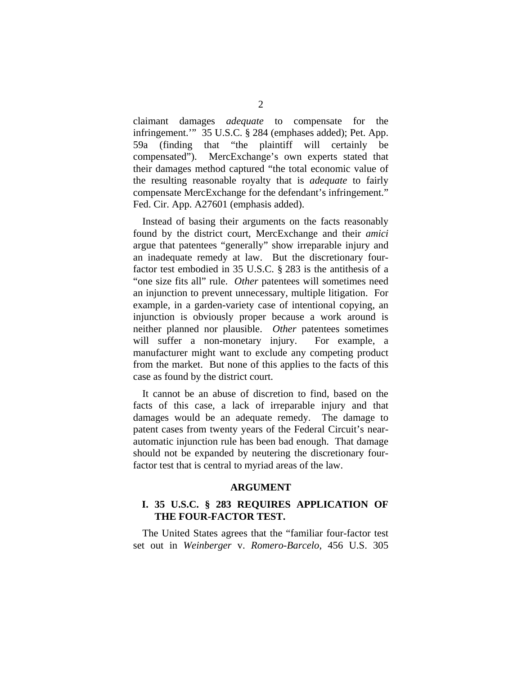claimant damages *adequate* to compensate for the infringement.'" 35 U.S.C. § 284 (emphases added); Pet. App. 59a (finding that "the plaintiff will certainly be compensated"). MercExchange's own experts stated that their damages method captured "the total economic value of the resulting reasonable royalty that is *adequate* to fairly compensate MercExchange for the defendant's infringement." Fed. Cir. App. A27601 (emphasis added).

Instead of basing their arguments on the facts reasonably found by the district court, MercExchange and their *amici* argue that patentees "generally" show irreparable injury and an inadequate remedy at law. But the discretionary fourfactor test embodied in 35 U.S.C. § 283 is the antithesis of a "one size fits all" rule. *Other* patentees will sometimes need an injunction to prevent unnecessary, multiple litigation. For example, in a garden-variety case of intentional copying, an injunction is obviously proper because a work around is neither planned nor plausible. *Other* patentees sometimes will suffer a non-monetary injury. For example, a manufacturer might want to exclude any competing product from the market. But none of this applies to the facts of this case as found by the district court.

It cannot be an abuse of discretion to find, based on the facts of this case, a lack of irreparable injury and that damages would be an adequate remedy. The damage to patent cases from twenty years of the Federal Circuit's nearautomatic injunction rule has been bad enough. That damage should not be expanded by neutering the discretionary fourfactor test that is central to myriad areas of the law.

### **ARGUMENT**

## **I. 35 U.S.C. § 283 REQUIRES APPLICATION OF THE FOUR-FACTOR TEST.**

The United States agrees that the "familiar four-factor test set out in *Weinberger* v. *Romero-Barcelo*, 456 U.S. 305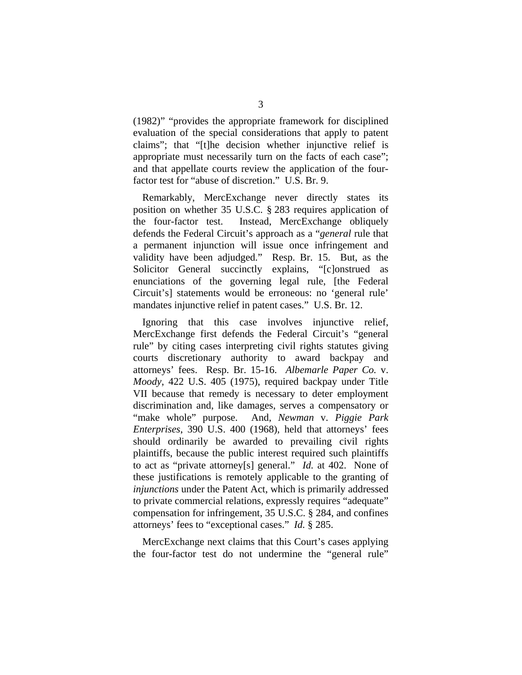(1982)" "provides the appropriate framework for disciplined evaluation of the special considerations that apply to patent claims"; that "[t]he decision whether injunctive relief is appropriate must necessarily turn on the facts of each case"; and that appellate courts review the application of the fourfactor test for "abuse of discretion." U.S. Br. 9.

Remarkably, MercExchange never directly states its position on whether 35 U.S.C. § 283 requires application of the four-factor test. Instead, MercExchange obliquely defends the Federal Circuit's approach as a "*general* rule that a permanent injunction will issue once infringement and validity have been adjudged." Resp. Br. 15. But, as the Solicitor General succinctly explains, "[c]onstrued as enunciations of the governing legal rule, [the Federal Circuit's] statements would be erroneous: no 'general rule' mandates injunctive relief in patent cases." U.S. Br. 12.

Ignoring that this case involves injunctive relief, MercExchange first defends the Federal Circuit's "general rule" by citing cases interpreting civil rights statutes giving courts discretionary authority to award backpay and attorneys' fees. Resp. Br. 15-16. *Albemarle Paper Co.* v. *Moody*, 422 U.S. 405 (1975), required backpay under Title VII because that remedy is necessary to deter employment discrimination and, like damages, serves a compensatory or "make whole" purpose. And, *Newman* v. *Piggie Park Enterprises*, 390 U.S. 400 (1968), held that attorneys' fees should ordinarily be awarded to prevailing civil rights plaintiffs, because the public interest required such plaintiffs to act as "private attorney[s] general." *Id.* at 402. None of these justifications is remotely applicable to the granting of *injunctions* under the Patent Act, which is primarily addressed to private commercial relations, expressly requires "adequate" compensation for infringement, 35 U.S.C. § 284, and confines attorneys' fees to "exceptional cases." *Id.* § 285.

MercExchange next claims that this Court's cases applying the four-factor test do not undermine the "general rule"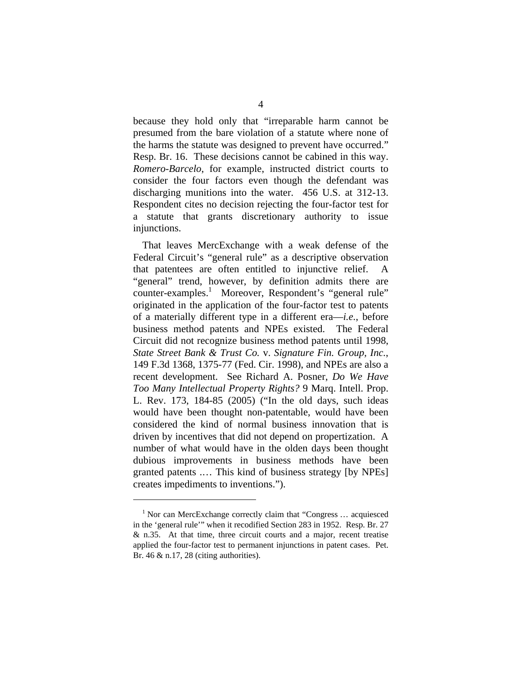because they hold only that "irreparable harm cannot be presumed from the bare violation of a statute where none of the harms the statute was designed to prevent have occurred." Resp. Br. 16. These decisions cannot be cabined in this way. *Romero-Barcelo*, for example, instructed district courts to consider the four factors even though the defendant was discharging munitions into the water. 456 U.S. at 312-13. Respondent cites no decision rejecting the four-factor test for a statute that grants discretionary authority to issue injunctions.

That leaves MercExchange with a weak defense of the Federal Circuit's "general rule" as a descriptive observation that patentees are often entitled to injunctive relief. A "general" trend, however, by definition admits there are counter-examples.<sup>1</sup> Moreover, Respondent's "general rule" originated in the application of the four-factor test to patents of a materially different type in a different era—*i.e.*, before business method patents and NPEs existed. The Federal Circuit did not recognize business method patents until 1998, *State Street Bank & Trust Co.* v. *Signature Fin. Group, Inc.*, 149 F.3d 1368, 1375-77 (Fed. Cir. 1998), and NPEs are also a recent development. See Richard A. Posner, *Do We Have Too Many Intellectual Property Rights?* 9 Marq. Intell. Prop. L. Rev. 173, 184-85 (2005) ("In the old days, such ideas would have been thought non-patentable, would have been considered the kind of normal business innovation that is driven by incentives that did not depend on propertization. A number of what would have in the olden days been thought dubious improvements in business methods have been granted patents .… This kind of business strategy [by NPEs] creates impediments to inventions.").

<sup>&</sup>lt;sup>1</sup> Nor can MercExchange correctly claim that "Congress ... acquiesced in the 'general rule'" when it recodified Section 283 in 1952. Resp. Br. 27 & n.35. At that time, three circuit courts and a major, recent treatise applied the four-factor test to permanent injunctions in patent cases. Pet. Br. 46 & n.17, 28 (citing authorities).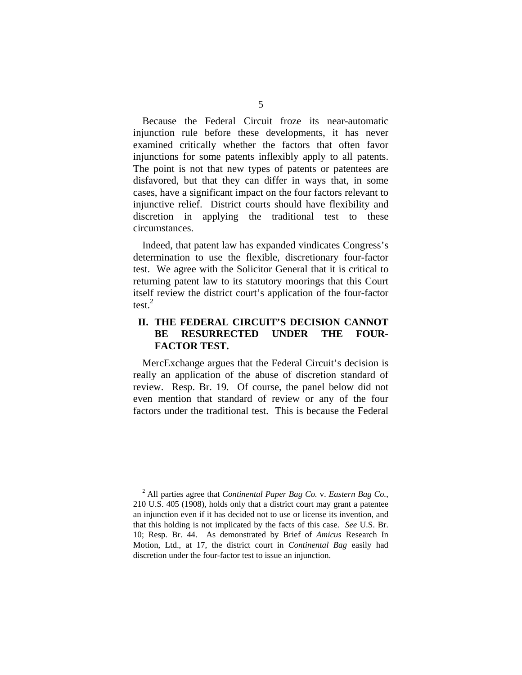Because the Federal Circuit froze its near-automatic injunction rule before these developments, it has never examined critically whether the factors that often favor injunctions for some patents inflexibly apply to all patents. The point is not that new types of patents or patentees are disfavored, but that they can differ in ways that, in some cases, have a significant impact on the four factors relevant to injunctive relief. District courts should have flexibility and discretion in applying the traditional test to these circumstances.

Indeed, that patent law has expanded vindicates Congress's determination to use the flexible, discretionary four-factor test. We agree with the Solicitor General that it is critical to returning patent law to its statutory moorings that this Court itself review the district court's application of the four-factor test. $^{2}$ 

## **II. THE FEDERAL CIRCUIT'S DECISION CANNOT BE RESURRECTED UNDER THE FOUR-FACTOR TEST.**

MercExchange argues that the Federal Circuit's decision is really an application of the abuse of discretion standard of review. Resp. Br. 19. Of course, the panel below did not even mention that standard of review or any of the four factors under the traditional test. This is because the Federal

<sup>2</sup> All parties agree that *Continental Paper Bag Co.* v. *Eastern Bag Co.*, 210 U.S. 405 (1908), holds only that a district court may grant a patentee an injunction even if it has decided not to use or license its invention, and that this holding is not implicated by the facts of this case. *See* U.S. Br. 10; Resp. Br. 44. As demonstrated by Brief of *Amicus* Research In Motion, Ltd., at 17, the district court in *Continental Bag* easily had discretion under the four-factor test to issue an injunction.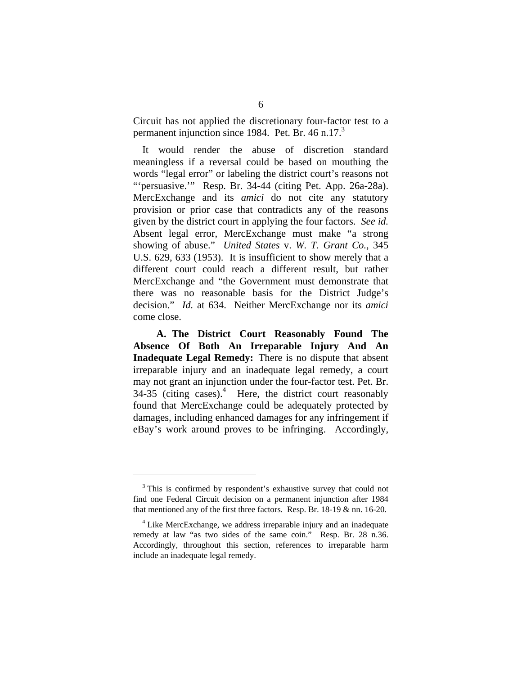Circuit has not applied the discretionary four-factor test to a permanent injunction since 1984. Pet. Br. 46 n.17.<sup>3</sup>

It would render the abuse of discretion standard meaningless if a reversal could be based on mouthing the words "legal error" or labeling the district court's reasons not "'persuasive.'" Resp. Br. 34-44 (citing Pet. App. 26a-28a). MercExchange and its *amici* do not cite any statutory provision or prior case that contradicts any of the reasons given by the district court in applying the four factors. *See id.* Absent legal error, MercExchange must make "a strong showing of abuse." *United States* v. *W. T. Grant Co.*, 345 U.S. 629, 633 (1953). It is insufficient to show merely that a different court could reach a different result, but rather MercExchange and "the Government must demonstrate that there was no reasonable basis for the District Judge's decision." *Id.* at 634. Neither MercExchange nor its *amici* come close.

**A. The District Court Reasonably Found The Absence Of Both An Irreparable Injury And An Inadequate Legal Remedy:** There is no dispute that absent irreparable injury and an inadequate legal remedy, a court may not grant an injunction under the four-factor test. Pet. Br.  $34-35$  (citing cases).<sup>4</sup> Here, the district court reasonably found that MercExchange could be adequately protected by damages, including enhanced damages for any infringement if eBay's work around proves to be infringing. Accordingly,

<sup>&</sup>lt;sup>3</sup> This is confirmed by respondent's exhaustive survey that could not find one Federal Circuit decision on a permanent injunction after 1984 that mentioned any of the first three factors. Resp. Br. 18-19 & nn. 16-20.

<sup>&</sup>lt;sup>4</sup> Like MercExchange, we address irreparable injury and an inadequate remedy at law "as two sides of the same coin." Resp. Br. 28 n.36. Accordingly, throughout this section, references to irreparable harm include an inadequate legal remedy.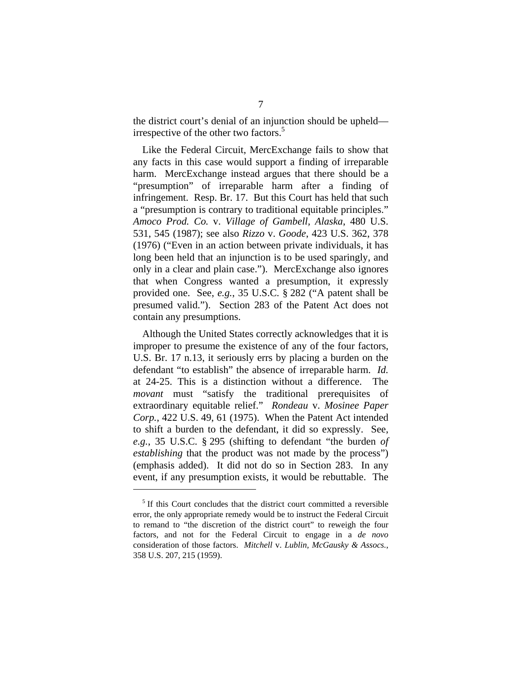the district court's denial of an injunction should be upheld irrespective of the other two factors.<sup>5</sup>

Like the Federal Circuit, MercExchange fails to show that any facts in this case would support a finding of irreparable harm. MercExchange instead argues that there should be a "presumption" of irreparable harm after a finding of infringement. Resp. Br. 17. But this Court has held that such a "presumption is contrary to traditional equitable principles." *Amoco Prod. Co.* v. *Village of Gambell, Alaska*, 480 U.S. 531, 545 (1987); see also *Rizzo* v. *Goode*, 423 U.S. 362, 378 (1976) ("Even in an action between private individuals, it has long been held that an injunction is to be used sparingly, and only in a clear and plain case."). MercExchange also ignores that when Congress wanted a presumption, it expressly provided one. See, *e.g.*, 35 U.S.C. § 282 ("A patent shall be presumed valid."). Section 283 of the Patent Act does not contain any presumptions.

Although the United States correctly acknowledges that it is improper to presume the existence of any of the four factors, U.S. Br. 17 n.13, it seriously errs by placing a burden on the defendant "to establish" the absence of irreparable harm. *Id.* at 24-25. This is a distinction without a difference. The *movant* must "satisfy the traditional prerequisites of extraordinary equitable relief." *Rondeau* v. *Mosinee Paper Corp.*, 422 U.S. 49, 61 (1975). When the Patent Act intended to shift a burden to the defendant, it did so expressly. See, *e.g.*, 35 U.S.C. § 295 (shifting to defendant "the burden *of establishing* that the product was not made by the process") (emphasis added). It did not do so in Section 283. In any event, if any presumption exists, it would be rebuttable. The

<sup>&</sup>lt;sup>5</sup> If this Court concludes that the district court committed a reversible error, the only appropriate remedy would be to instruct the Federal Circuit to remand to "the discretion of the district court" to reweigh the four factors, and not for the Federal Circuit to engage in a *de novo* consideration of those factors. *Mitchell* v. *Lublin, McGausky & Assocs.*, 358 U.S. 207, 215 (1959).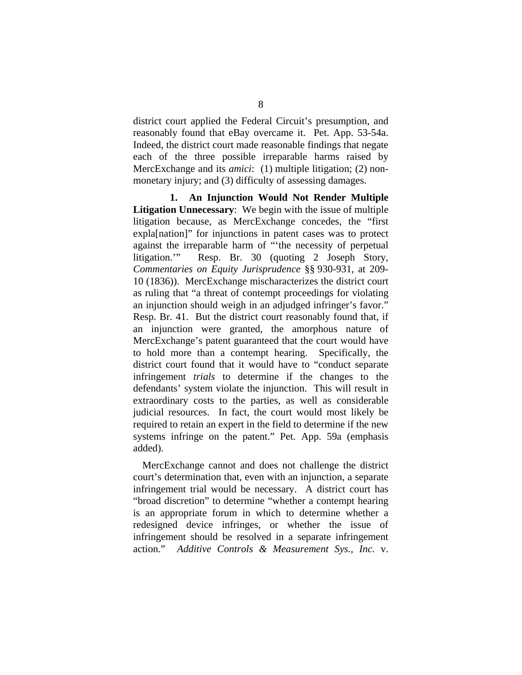district court applied the Federal Circuit's presumption, and reasonably found that eBay overcame it. Pet. App. 53-54a. Indeed, the district court made reasonable findings that negate each of the three possible irreparable harms raised by MercExchange and its *amici*: (1) multiple litigation; (2) nonmonetary injury; and (3) difficulty of assessing damages.

**1. An Injunction Would Not Render Multiple Litigation Unnecessary**: We begin with the issue of multiple litigation because, as MercExchange concedes, the "first expla[nation]" for injunctions in patent cases was to protect against the irreparable harm of "'the necessity of perpetual litigation.'" Resp. Br. 30 (quoting 2 Joseph Story, *Commentaries on Equity Jurisprudence* §§ 930-931, at 209- 10 (1836)). MercExchange mischaracterizes the district court as ruling that "a threat of contempt proceedings for violating an injunction should weigh in an adjudged infringer's favor." Resp. Br. 41. But the district court reasonably found that, if an injunction were granted, the amorphous nature of MercExchange's patent guaranteed that the court would have to hold more than a contempt hearing. Specifically, the district court found that it would have to "conduct separate infringement *trials* to determine if the changes to the defendants' system violate the injunction. This will result in extraordinary costs to the parties, as well as considerable judicial resources. In fact, the court would most likely be required to retain an expert in the field to determine if the new systems infringe on the patent." Pet. App. 59a (emphasis added).

MercExchange cannot and does not challenge the district court's determination that, even with an injunction, a separate infringement trial would be necessary. A district court has "broad discretion" to determine "whether a contempt hearing is an appropriate forum in which to determine whether a redesigned device infringes, or whether the issue of infringement should be resolved in a separate infringement action." *Additive Controls & Measurement Sys., Inc.* v.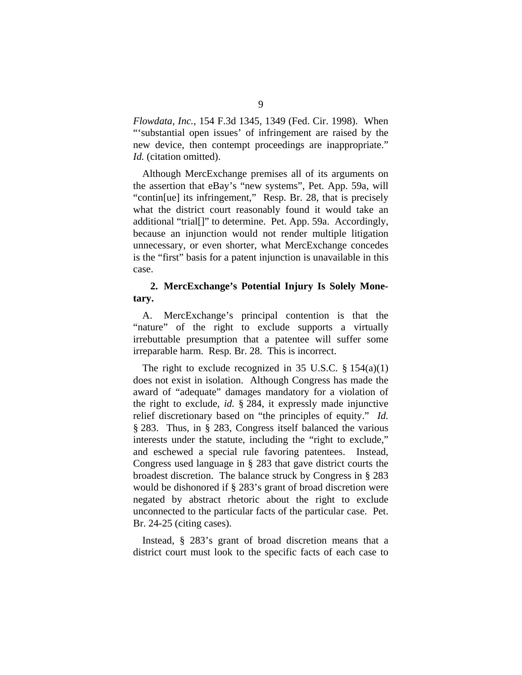*Flowdata, Inc.*, 154 F.3d 1345, 1349 (Fed. Cir. 1998). When "'substantial open issues' of infringement are raised by the new device, then contempt proceedings are inappropriate." *Id.* (citation omitted).

Although MercExchange premises all of its arguments on the assertion that eBay's "new systems", Pet. App. 59a, will "contin[ue] its infringement," Resp. Br. 28, that is precisely what the district court reasonably found it would take an additional "trial[]" to determine. Pet. App. 59a. Accordingly, because an injunction would not render multiple litigation unnecessary, or even shorter, what MercExchange concedes is the "first" basis for a patent injunction is unavailable in this case.

## **2. MercExchange's Potential Injury Is Solely Monetary.**

A. MercExchange's principal contention is that the "nature" of the right to exclude supports a virtually irrebuttable presumption that a patentee will suffer some irreparable harm. Resp. Br. 28. This is incorrect.

The right to exclude recognized in 35 U.S.C.  $\S 154(a)(1)$ does not exist in isolation. Although Congress has made the award of "adequate" damages mandatory for a violation of the right to exclude, *id.* § 284, it expressly made injunctive relief discretionary based on "the principles of equity." *Id.* § 283. Thus, in § 283, Congress itself balanced the various interests under the statute, including the "right to exclude," and eschewed a special rule favoring patentees. Instead, Congress used language in § 283 that gave district courts the broadest discretion. The balance struck by Congress in § 283 would be dishonored if § 283's grant of broad discretion were negated by abstract rhetoric about the right to exclude unconnected to the particular facts of the particular case. Pet. Br. 24-25 (citing cases).

Instead, § 283's grant of broad discretion means that a district court must look to the specific facts of each case to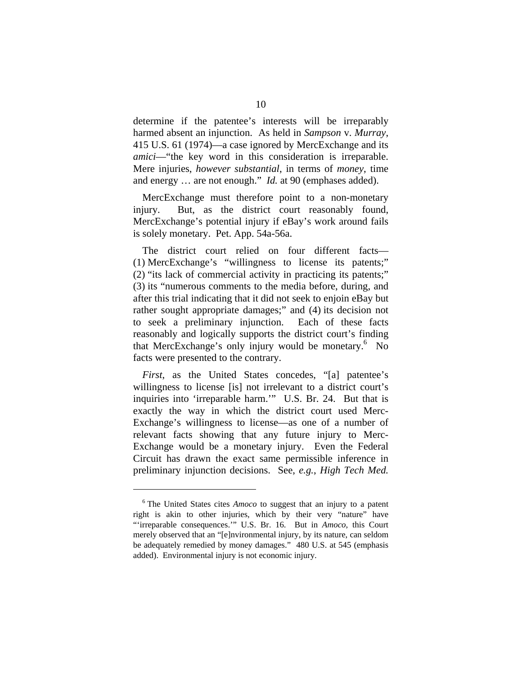determine if the patentee's interests will be irreparably harmed absent an injunction. As held in *Sampson* v. *Murray*, 415 U.S. 61 (1974)—a case ignored by MercExchange and its *amici*—"the key word in this consideration is irreparable. Mere injuries, *however substantial*, in terms of *money*, time and energy … are not enough." *Id.* at 90 (emphases added).

MercExchange must therefore point to a non-monetary injury. But, as the district court reasonably found, MercExchange's potential injury if eBay's work around fails is solely monetary. Pet. App. 54a-56a.

The district court relied on four different facts— (1) MercExchange's "willingness to license its patents;" (2) "its lack of commercial activity in practicing its patents;" (3) its "numerous comments to the media before, during, and after this trial indicating that it did not seek to enjoin eBay but rather sought appropriate damages;" and (4) its decision not to seek a preliminary injunction. Each of these facts reasonably and logically supports the district court's finding that MercExchange's only injury would be monetary.<sup>6</sup> No facts were presented to the contrary.

*First*, as the United States concedes, "[a] patentee's willingness to license [is] not irrelevant to a district court's inquiries into 'irreparable harm.'" U.S. Br. 24. But that is exactly the way in which the district court used Merc-Exchange's willingness to license—as one of a number of relevant facts showing that any future injury to Merc-Exchange would be a monetary injury. Even the Federal Circuit has drawn the exact same permissible inference in preliminary injunction decisions. See, *e.g.*, *High Tech Med.* 

<sup>&</sup>lt;sup>6</sup> The United States cites *Amoco* to suggest that an injury to a patent right is akin to other injuries, which by their very "nature" have "'irreparable consequences.'" U.S. Br. 16. But in *Amoco*, this Court merely observed that an "[e]nvironmental injury, by its nature, can seldom be adequately remedied by money damages." 480 U.S. at 545 (emphasis added). Environmental injury is not economic injury.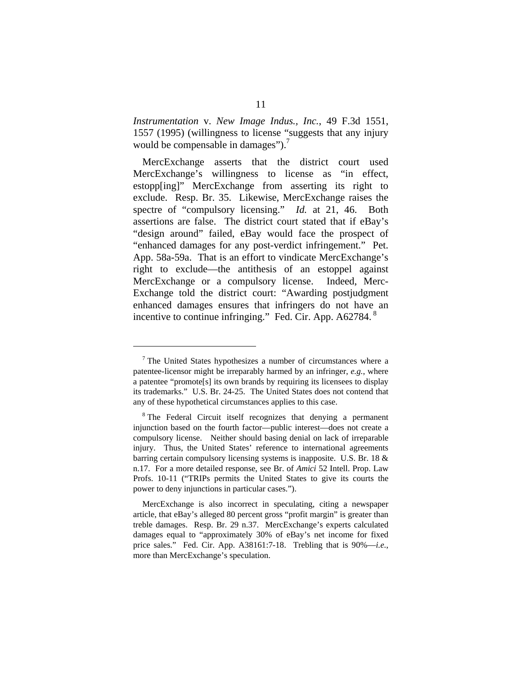*Instrumentation* v. *New Image Indus., Inc.*, 49 F.3d 1551, 1557 (1995) (willingness to license "suggests that any injury would be compensable in damages").<sup>7</sup>

MercExchange asserts that the district court used MercExchange's willingness to license as "in effect, estopp[ing]" MercExchange from asserting its right to exclude. Resp. Br. 35. Likewise, MercExchange raises the spectre of "compulsory licensing." *Id.* at 21, 46. Both assertions are false. The district court stated that if eBay's "design around" failed, eBay would face the prospect of "enhanced damages for any post-verdict infringement." Pet. App. 58a-59a. That is an effort to vindicate MercExchange's right to exclude—the antithesis of an estoppel against MercExchange or a compulsory license. Indeed, Merc-Exchange told the district court: "Awarding postjudgment enhanced damages ensures that infringers do not have an incentive to continue infringing." Fed. Cir. App. A62784.<sup>8</sup>

 $7$  The United States hypothesizes a number of circumstances where a patentee-licensor might be irreparably harmed by an infringer, *e.g.*, where a patentee "promote[s] its own brands by requiring its licensees to display its trademarks." U.S. Br. 24-25. The United States does not contend that any of these hypothetical circumstances applies to this case.

<sup>&</sup>lt;sup>8</sup> The Federal Circuit itself recognizes that denying a permanent injunction based on the fourth factor—public interest—does not create a compulsory license. Neither should basing denial on lack of irreparable injury. Thus, the United States' reference to international agreements barring certain compulsory licensing systems is inapposite. U.S. Br. 18 & n.17. For a more detailed response, see Br. of *Amici* 52 Intell. Prop. Law Profs. 10-11 ("TRIPs permits the United States to give its courts the power to deny injunctions in particular cases.").

MercExchange is also incorrect in speculating, citing a newspaper article, that eBay's alleged 80 percent gross "profit margin" is greater than treble damages. Resp. Br. 29 n.37. MercExchange's experts calculated damages equal to "approximately 30% of eBay's net income for fixed price sales." Fed. Cir. App. A38161:7-18. Trebling that is 90%—*i.e.*, more than MercExchange's speculation.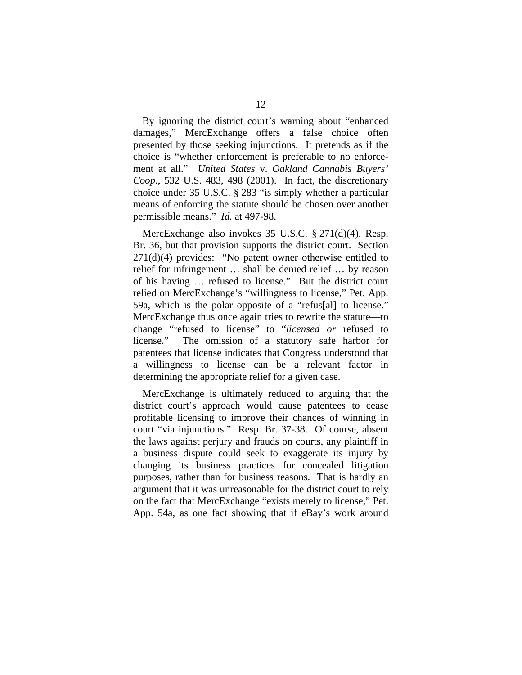By ignoring the district court's warning about "enhanced damages," MercExchange offers a false choice often presented by those seeking injunctions. It pretends as if the choice is "whether enforcement is preferable to no enforcement at all." *United States* v. *Oakland Cannabis Buyers' Coop.*, 532 U.S. 483, 498 (2001). In fact, the discretionary choice under 35 U.S.C. § 283 "is simply whether a particular means of enforcing the statute should be chosen over another permissible means." *Id.* at 497-98.

MercExchange also invokes 35 U.S.C. § 271(d)(4), Resp. Br. 36, but that provision supports the district court. Section 271(d)(4) provides: "No patent owner otherwise entitled to relief for infringement … shall be denied relief … by reason of his having … refused to license." But the district court relied on MercExchange's "willingness to license," Pet. App. 59a, which is the polar opposite of a "refus[al] to license." MercExchange thus once again tries to rewrite the statute—to change "refused to license" to "*licensed or* refused to license." The omission of a statutory safe harbor for patentees that license indicates that Congress understood that a willingness to license can be a relevant factor in determining the appropriate relief for a given case.

MercExchange is ultimately reduced to arguing that the district court's approach would cause patentees to cease profitable licensing to improve their chances of winning in court "via injunctions." Resp. Br. 37-38. Of course, absent the laws against perjury and frauds on courts, any plaintiff in a business dispute could seek to exaggerate its injury by changing its business practices for concealed litigation purposes, rather than for business reasons. That is hardly an argument that it was unreasonable for the district court to rely on the fact that MercExchange "exists merely to license," Pet. App. 54a, as one fact showing that if eBay's work around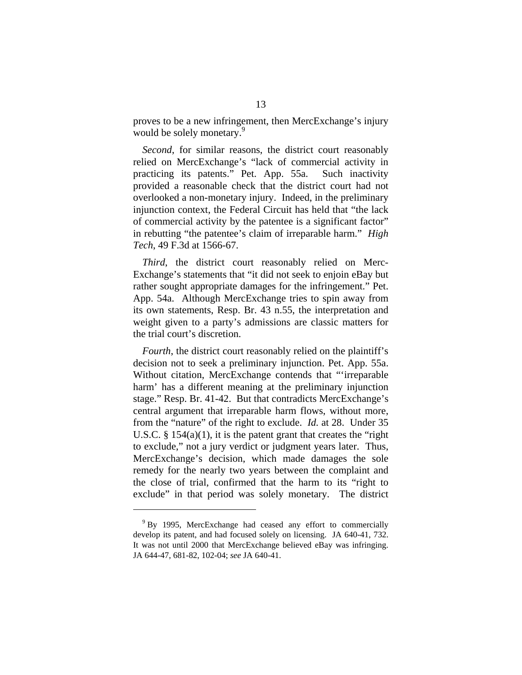proves to be a new infringement, then MercExchange's injury would be solely monetary.<sup>9</sup>

*Second*, for similar reasons, the district court reasonably relied on MercExchange's "lack of commercial activity in practicing its patents." Pet. App. 55a. Such inactivity provided a reasonable check that the district court had not overlooked a non-monetary injury. Indeed, in the preliminary injunction context, the Federal Circuit has held that "the lack of commercial activity by the patentee is a significant factor" in rebutting "the patentee's claim of irreparable harm." *High Tech*, 49 F.3d at 1566-67.

*Third*, the district court reasonably relied on Merc-Exchange's statements that "it did not seek to enjoin eBay but rather sought appropriate damages for the infringement." Pet. App. 54a. Although MercExchange tries to spin away from its own statements, Resp. Br. 43 n.55, the interpretation and weight given to a party's admissions are classic matters for the trial court's discretion.

*Fourth*, the district court reasonably relied on the plaintiff's decision not to seek a preliminary injunction. Pet. App. 55a. Without citation, MercExchange contends that "'irreparable harm' has a different meaning at the preliminary injunction stage." Resp. Br. 41-42. But that contradicts MercExchange's central argument that irreparable harm flows, without more, from the "nature" of the right to exclude. *Id.* at 28. Under 35 U.S.C.  $\S$  154(a)(1), it is the patent grant that creates the "right" to exclude," not a jury verdict or judgment years later. Thus, MercExchange's decision, which made damages the sole remedy for the nearly two years between the complaint and the close of trial, confirmed that the harm to its "right to exclude" in that period was solely monetary. The district

<sup>&</sup>lt;sup>9</sup> By 1995, MercExchange had ceased any effort to commercially develop its patent, and had focused solely on licensing. JA 640-41, 732. It was not until 2000 that MercExchange believed eBay was infringing. JA 644-47, 681-82, 102-04; *see* JA 640-41.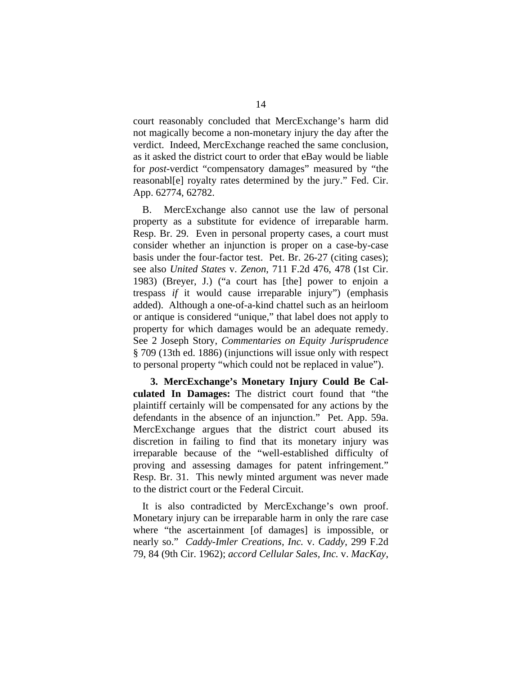court reasonably concluded that MercExchange's harm did not magically become a non-monetary injury the day after the verdict. Indeed, MercExchange reached the same conclusion, as it asked the district court to order that eBay would be liable for *post*-verdict "compensatory damages" measured by "the reasonabl[e] royalty rates determined by the jury." Fed. Cir. App. 62774, 62782.

B. MercExchange also cannot use the law of personal property as a substitute for evidence of irreparable harm. Resp. Br. 29. Even in personal property cases, a court must consider whether an injunction is proper on a case-by-case basis under the four-factor test. Pet. Br. 26-27 (citing cases); see also *United States* v. *Zenon*, 711 F.2d 476, 478 (1st Cir. 1983) (Breyer, J.) ("a court has [the] power to enjoin a trespass *if* it would cause irreparable injury") (emphasis added). Although a one-of-a-kind chattel such as an heirloom or antique is considered "unique," that label does not apply to property for which damages would be an adequate remedy. See 2 Joseph Story, *Commentaries on Equity Jurisprudence* § 709 (13th ed. 1886) (injunctions will issue only with respect to personal property "which could not be replaced in value").

**3. MercExchange's Monetary Injury Could Be Calculated In Damages:** The district court found that "the plaintiff certainly will be compensated for any actions by the defendants in the absence of an injunction." Pet. App. 59a. MercExchange argues that the district court abused its discretion in failing to find that its monetary injury was irreparable because of the "well-established difficulty of proving and assessing damages for patent infringement." Resp. Br. 31. This newly minted argument was never made to the district court or the Federal Circuit.

It is also contradicted by MercExchange's own proof. Monetary injury can be irreparable harm in only the rare case where "the ascertainment [of damages] is impossible, or nearly so." *Caddy-Imler Creations, Inc.* v. *Caddy*, 299 F.2d 79, 84 (9th Cir. 1962); *accord Cellular Sales, Inc.* v. *MacKay*,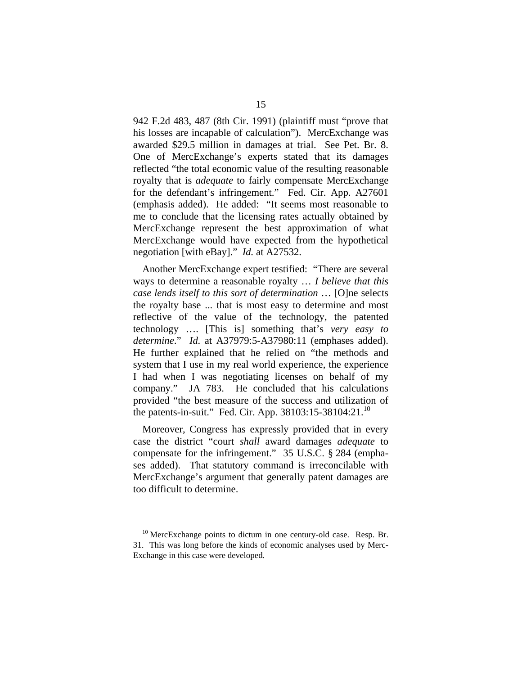942 F.2d 483, 487 (8th Cir. 1991) (plaintiff must "prove that his losses are incapable of calculation"). MercExchange was awarded \$29.5 million in damages at trial. See Pet. Br. 8. One of MercExchange's experts stated that its damages reflected "the total economic value of the resulting reasonable royalty that is *adequate* to fairly compensate MercExchange for the defendant's infringement." Fed. Cir. App. A27601 (emphasis added). He added: "It seems most reasonable to me to conclude that the licensing rates actually obtained by MercExchange represent the best approximation of what MercExchange would have expected from the hypothetical negotiation [with eBay]." *Id.* at A27532.

Another MercExchange expert testified: "There are several ways to determine a reasonable royalty … *I believe that this case lends itself to this sort of determination* … [O]ne selects the royalty base ... that is most easy to determine and most reflective of the value of the technology, the patented technology …. [This is] something that's *very easy to determine*." *Id.* at A37979:5-A37980:11 (emphases added). He further explained that he relied on "the methods and system that I use in my real world experience, the experience I had when I was negotiating licenses on behalf of my company." JA 783. He concluded that his calculations provided "the best measure of the success and utilization of the patents-in-suit." Fed. Cir. App.  $38103:15-38104:21$ .<sup>10</sup>

Moreover, Congress has expressly provided that in every case the district "court *shall* award damages *adequate* to compensate for the infringement." 35 U.S.C. § 284 (emphases added). That statutory command is irreconcilable with MercExchange's argument that generally patent damages are too difficult to determine.

 $10$  MercExchange points to dictum in one century-old case. Resp. Br. 31. This was long before the kinds of economic analyses used by Merc-Exchange in this case were developed.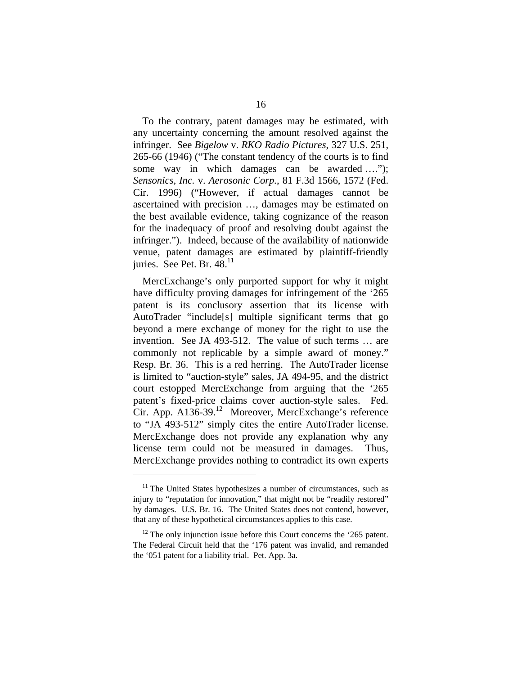To the contrary, patent damages may be estimated, with any uncertainty concerning the amount resolved against the infringer. See *Bigelow* v. *RKO Radio Pictures*, 327 U.S. 251, 265-66 (1946) ("The constant tendency of the courts is to find some way in which damages can be awarded …."); *Sensonics, Inc.* v. *Aerosonic Corp.*, 81 F.3d 1566, 1572 (Fed. Cir. 1996) ("However, if actual damages cannot be ascertained with precision …, damages may be estimated on the best available evidence, taking cognizance of the reason for the inadequacy of proof and resolving doubt against the infringer."). Indeed, because of the availability of nationwide venue, patent damages are estimated by plaintiff-friendly juries. See Pet. Br.  $48<sup>11</sup>$ 

MercExchange's only purported support for why it might have difficulty proving damages for infringement of the '265 patent is its conclusory assertion that its license with AutoTrader "include[s] multiple significant terms that go beyond a mere exchange of money for the right to use the invention. See JA 493-512. The value of such terms … are commonly not replicable by a simple award of money." Resp. Br. 36. This is a red herring. The AutoTrader license is limited to "auction-style" sales, JA 494-95, and the district court estopped MercExchange from arguing that the '265 patent's fixed-price claims cover auction-style sales. Fed. Cir. App. A136-39.12 Moreover, MercExchange's reference to "JA 493-512" simply cites the entire AutoTrader license. MercExchange does not provide any explanation why any license term could not be measured in damages. Thus, MercExchange provides nothing to contradict its own experts

 $11$ <sup>11</sup> The United States hypothesizes a number of circumstances, such as injury to "reputation for innovation," that might not be "readily restored" by damages. U.S. Br. 16. The United States does not contend, however, that any of these hypothetical circumstances applies to this case.

 $12$  The only injunction issue before this Court concerns the '265 patent. The Federal Circuit held that the '176 patent was invalid, and remanded the '051 patent for a liability trial. Pet. App. 3a.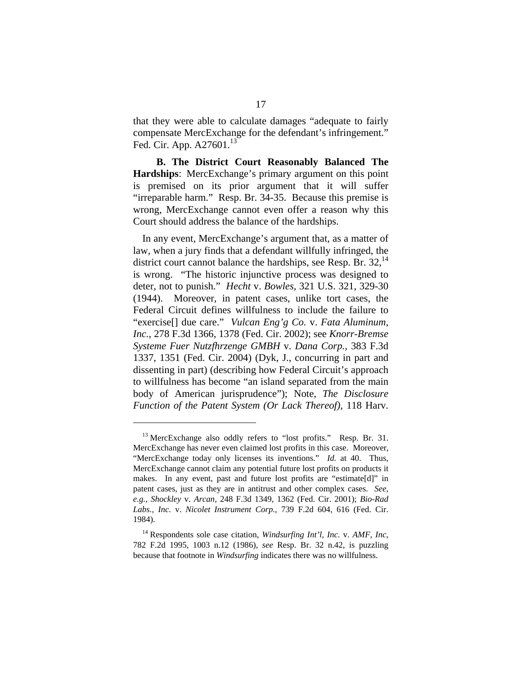that they were able to calculate damages "adequate to fairly compensate MercExchange for the defendant's infringement." Fed. Cir. App. A27601.<sup>13</sup>

**B. The District Court Reasonably Balanced The Hardships**: MercExchange's primary argument on this point is premised on its prior argument that it will suffer "irreparable harm." Resp. Br. 34-35. Because this premise is wrong, MercExchange cannot even offer a reason why this Court should address the balance of the hardships.

In any event, MercExchange's argument that, as a matter of law, when a jury finds that a defendant willfully infringed, the district court cannot balance the hardships, see Resp. Br.  $32<sup>14</sup>$ is wrong. "The historic injunctive process was designed to deter, not to punish." *Hecht* v. *Bowles*, 321 U.S. 321, 329-30 (1944). Moreover, in patent cases, unlike tort cases, the Federal Circuit defines willfulness to include the failure to "exercise[] due care." *Vulcan Eng'g Co.* v. *Fata Aluminum, Inc.*, 278 F.3d 1366, 1378 (Fed. Cir. 2002); see *Knorr-Bremse Systeme Fuer Nutzfhrzenge GMBH* v. *Dana Corp.*, 383 F.3d 1337, 1351 (Fed. Cir. 2004) (Dyk, J., concurring in part and dissenting in part) (describing how Federal Circuit's approach to willfulness has become "an island separated from the main body of American jurisprudence"); Note, *The Disclosure Function of the Patent System (Or Lack Thereof)*, 118 Harv.

<sup>&</sup>lt;sup>13</sup> MercExchange also oddly refers to "lost profits." Resp. Br. 31. MercExchange has never even claimed lost profits in this case. Moreover, "MercExchange today only licenses its inventions." *Id.* at 40. Thus, MercExchange cannot claim any potential future lost profits on products it makes. In any event, past and future lost profits are "estimate[d]" in patent cases, just as they are in antitrust and other complex cases. *See, e.g., Shockley* v. *Arcan*, 248 F.3d 1349, 1362 (Fed. Cir. 2001); *Bio-Rad Labs., Inc.* v. *Nicolet Instrument Corp.*, 739 F.2d 604, 616 (Fed. Cir. 1984).

<sup>14</sup> Respondents sole case citation, *Windsurfing Int'l, Inc.* v. *AMF, Inc*, 782 F.2d 1995, 1003 n.12 (1986), *see* Resp. Br. 32 n.42, is puzzling because that footnote in *Windsurfing* indicates there was no willfulness.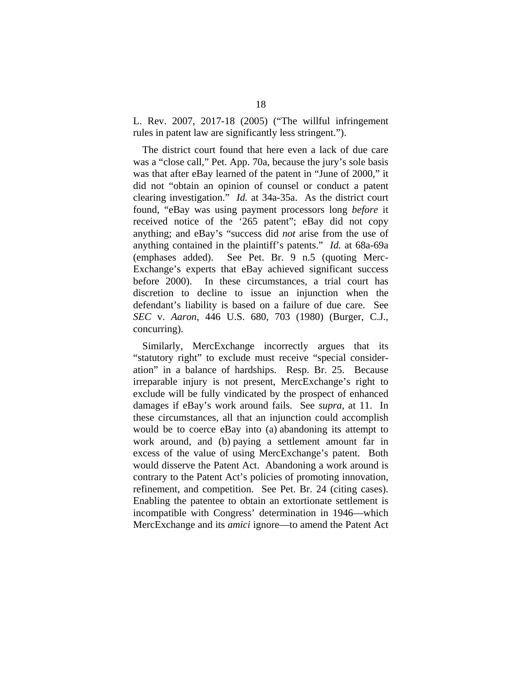L. Rev. 2007, 2017-18 (2005) ("The willful infringement rules in patent law are significantly less stringent.").

The district court found that here even a lack of due care was a "close call," Pet. App. 70a, because the jury's sole basis was that after eBay learned of the patent in "June of 2000," it did not "obtain an opinion of counsel or conduct a patent clearing investigation." *Id.* at 34a-35a. As the district court found, "eBay was using payment processors long *before* it received notice of the '265 patent"; eBay did not copy anything; and eBay's "success did *not* arise from the use of anything contained in the plaintiff's patents." *Id.* at 68a-69a (emphases added). See Pet. Br. 9 n.5 (quoting Merc-Exchange's experts that eBay achieved significant success before 2000). In these circumstances, a trial court has discretion to decline to issue an injunction when the defendant's liability is based on a failure of due care. See *SEC* v. *Aaron*, 446 U.S. 680, 703 (1980) (Burger, C.J., concurring).

Similarly, MercExchange incorrectly argues that its "statutory right" to exclude must receive "special consideration" in a balance of hardships. Resp. Br. 25. Because irreparable injury is not present, MercExchange's right to exclude will be fully vindicated by the prospect of enhanced damages if eBay's work around fails. See *supra*, at 11. In these circumstances, all that an injunction could accomplish would be to coerce eBay into (a) abandoning its attempt to work around, and (b) paying a settlement amount far in excess of the value of using MercExchange's patent. Both would disserve the Patent Act. Abandoning a work around is contrary to the Patent Act's policies of promoting innovation, refinement, and competition. See Pet. Br. 24 (citing cases). Enabling the patentee to obtain an extortionate settlement is incompatible with Congress' determination in 1946—which MercExchange and its *amici* ignore—to amend the Patent Act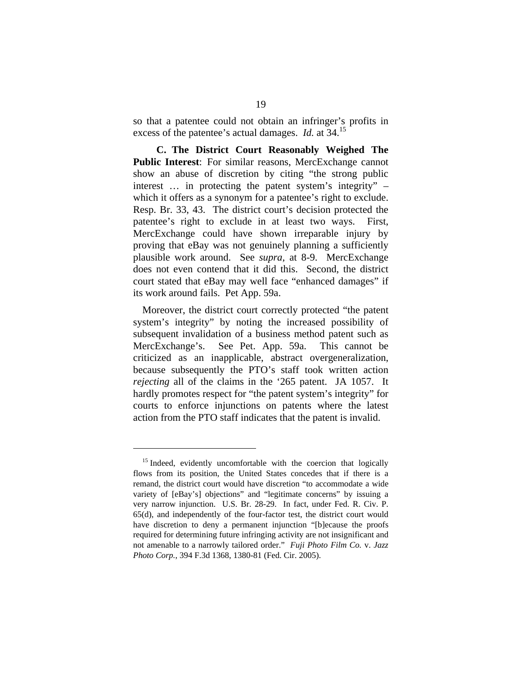so that a patentee could not obtain an infringer's profits in excess of the patentee's actual damages. *Id.* at 34.15

**C. The District Court Reasonably Weighed The Public Interest**: For similar reasons, MercExchange cannot show an abuse of discretion by citing "the strong public interest … in protecting the patent system's integrity" – which it offers as a synonym for a patentee's right to exclude. Resp. Br. 33, 43. The district court's decision protected the patentee's right to exclude in at least two ways. First, MercExchange could have shown irreparable injury by proving that eBay was not genuinely planning a sufficiently plausible work around. See *supra*, at 8-9. MercExchange does not even contend that it did this. Second, the district court stated that eBay may well face "enhanced damages" if its work around fails. Pet App. 59a.

Moreover, the district court correctly protected "the patent system's integrity" by noting the increased possibility of subsequent invalidation of a business method patent such as MercExchange's. See Pet. App. 59a. This cannot be criticized as an inapplicable, abstract overgeneralization, because subsequently the PTO's staff took written action *rejecting* all of the claims in the '265 patent. JA 1057. It hardly promotes respect for "the patent system's integrity" for courts to enforce injunctions on patents where the latest action from the PTO staff indicates that the patent is invalid.

 $15$  Indeed, evidently uncomfortable with the coercion that logically flows from its position, the United States concedes that if there is a remand, the district court would have discretion "to accommodate a wide variety of [eBay's] objections" and "legitimate concerns" by issuing a very narrow injunction. U.S. Br. 28-29. In fact, under Fed. R. Civ. P. 65(d), and independently of the four-factor test, the district court would have discretion to deny a permanent injunction "[b]ecause the proofs required for determining future infringing activity are not insignificant and not amenable to a narrowly tailored order." *Fuji Photo Film Co.* v. *Jazz Photo Corp.*, 394 F.3d 1368, 1380-81 (Fed. Cir. 2005).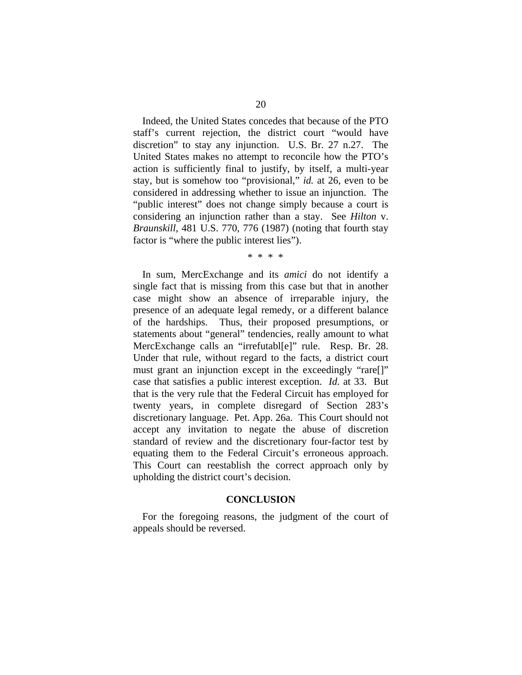Indeed, the United States concedes that because of the PTO staff's current rejection, the district court "would have discretion" to stay any injunction. U.S. Br. 27 n.27. The United States makes no attempt to reconcile how the PTO's action is sufficiently final to justify, by itself, a multi-year stay, but is somehow too "provisional," *id.* at 26, even to be considered in addressing whether to issue an injunction. The "public interest" does not change simply because a court is considering an injunction rather than a stay. See *Hilton* v. *Braunskill*, 481 U.S. 770, 776 (1987) (noting that fourth stay factor is "where the public interest lies").

\* \* \* \*

In sum, MercExchange and its *amici* do not identify a single fact that is missing from this case but that in another case might show an absence of irreparable injury, the presence of an adequate legal remedy, or a different balance of the hardships. Thus, their proposed presumptions, or statements about "general" tendencies, really amount to what MercExchange calls an "irrefutabl[e]" rule. Resp. Br. 28. Under that rule, without regard to the facts, a district court must grant an injunction except in the exceedingly "rare[]" case that satisfies a public interest exception. *Id.* at 33. But that is the very rule that the Federal Circuit has employed for twenty years, in complete disregard of Section 283's discretionary language. Pet. App. 26a. This Court should not accept any invitation to negate the abuse of discretion standard of review and the discretionary four-factor test by equating them to the Federal Circuit's erroneous approach. This Court can reestablish the correct approach only by upholding the district court's decision.

#### **CONCLUSION**

For the foregoing reasons, the judgment of the court of appeals should be reversed.